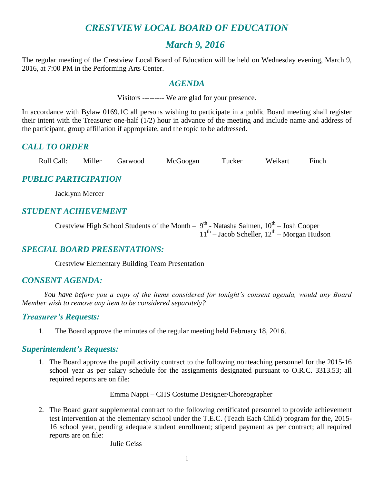# *CRESTVIEW LOCAL BOARD OF EDUCATION*

# *March 9, 2016*

The regular meeting of the Crestview Local Board of Education will be held on Wednesday evening, March 9, 2016, at 7:00 PM in the Performing Arts Center.

#### *AGENDA*

Visitors --------- We are glad for your presence.

In accordance with Bylaw 0169.1C all persons wishing to participate in a public Board meeting shall register their intent with the Treasurer one-half (1/2) hour in advance of the meeting and include name and address of the participant, group affiliation if appropriate, and the topic to be addressed.

# *CALL TO ORDER*

| Roll Call: | Miller | Garwood | McGoogan | Tucker | Weikart | Finch |
|------------|--------|---------|----------|--------|---------|-------|
|            |        |         |          |        |         |       |

# *PUBLIC PARTICIPATION*

Jacklynn Mercer

# *STUDENT ACHIEVEMENT*

Crestview High School Students of the Month –  $9^{th}$  - Natasha Salmen,  $10^{th}$  – Josh Cooper  $11<sup>th</sup>$  – Jacob Scheller,  $12<sup>th</sup>$  – Morgan Hudson

#### *SPECIAL BOARD PRESENTATIONS:*

Crestview Elementary Building Team Presentation

#### *CONSENT AGENDA:*

*You have before you a copy of the items considered for tonight's consent agenda, would any Board Member wish to remove any item to be considered separately?*

#### *Treasurer's Requests:*

1. The Board approve the minutes of the regular meeting held February 18, 2016.

#### *Superintendent's Requests:*

1. The Board approve the pupil activity contract to the following nonteaching personnel for the 2015-16 school year as per salary schedule for the assignments designated pursuant to O.R.C. 3313.53; all required reports are on file:

Emma Nappi – CHS Costume Designer/Choreographer

2. The Board grant supplemental contract to the following certificated personnel to provide achievement test intervention at the elementary school under the T.E.C. (Teach Each Child) program for the, 2015- 16 school year, pending adequate student enrollment; stipend payment as per contract; all required reports are on file:

Julie Geiss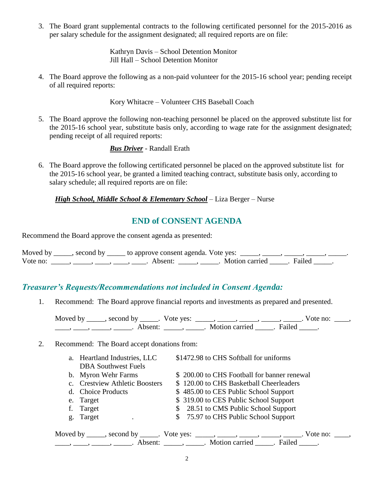3. The Board grant supplemental contracts to the following certificated personnel for the 2015-2016 as per salary schedule for the assignment designated; all required reports are on file:

> Kathryn Davis – School Detention Monitor Jill Hall – School Detention Monitor

4. The Board approve the following as a non-paid volunteer for the 2015-16 school year; pending receipt of all required reports:

Kory Whitacre – Volunteer CHS Baseball Coach

5. The Board approve the following non-teaching personnel be placed on the approved substitute list for the 2015-16 school year, substitute basis only, according to wage rate for the assignment designated; pending receipt of all required reports:

*Bus Driver* - Randall Erath

6. The Board approve the following certificated personnel be placed on the approved substitute list for the 2015-16 school year, be granted a limited teaching contract, substitute basis only, according to salary schedule; all required reports are on file:

*High School, Middle School & Elementary School* – Liza Berger – Nurse

# **END of CONSENT AGENDA**

Recommend the Board approve the consent agenda as presented:

|          | Moved by ______, second by ______ to approve consent agenda. Vote yes: |                         |  |
|----------|------------------------------------------------------------------------|-------------------------|--|
| Vote no: | Absent <sup>.</sup>                                                    | Motion carried . Failed |  |

#### *Treasurer's Requests/Recommendations not included in Consent Agenda:*

1. Recommend: The Board approve financial reports and investments as prepared and presented.

Moved by \_\_\_\_\_, second by \_\_\_\_\_. Vote yes: \_\_\_\_\_, \_\_\_\_\_, \_\_\_\_\_, \_\_\_\_\_, \_\_\_\_\_. Vote no: \_\_\_\_, \_\_\_\_\_, \_\_\_\_\_, \_\_\_\_\_\_. Absent: \_\_\_\_\_, \_\_\_\_\_. Motion carried \_\_\_\_\_. Failed \_\_\_\_\_.

#### 2. Recommend: The Board accept donations from:

|    | a. Heartland Industries, LLC   | \$1472.98 to CHS Softball for uniforms                                                 |  |
|----|--------------------------------|----------------------------------------------------------------------------------------|--|
|    | <b>DBA</b> Southwest Fuels     |                                                                                        |  |
|    | b. Myron Wehr Farms            | \$200.00 to CHS Football for banner renewal                                            |  |
|    | c. Crestview Athletic Boosters | \$120.00 to CHS Basketball Cheerleaders                                                |  |
|    | d. Choice Products             | \$485.00 to CES Public School Support                                                  |  |
|    | e. Target                      | \$319.00 to CES Public School Support                                                  |  |
|    | Target                         | \$ 28.51 to CMS Public School Support                                                  |  |
| g. | Target                         | \$75.97 to CHS Public School Support                                                   |  |
|    |                                | Moved by _____, second by _____. Vote yes: _____, _____, _____, _____, _____. Vote no: |  |

 $\frac{1}{\sqrt{2}}$ ,  $\frac{1}{\sqrt{2}}$ ,  $\frac{1}{\sqrt{2}}$ ,  $\frac{1}{\sqrt{2}}$ ,  $\frac{1}{\sqrt{2}}$ ,  $\frac{1}{\sqrt{2}}$ ,  $\frac{1}{\sqrt{2}}$ ,  $\frac{1}{\sqrt{2}}$ ,  $\frac{1}{\sqrt{2}}$ ,  $\frac{1}{\sqrt{2}}$ ,  $\frac{1}{\sqrt{2}}$ ,  $\frac{1}{\sqrt{2}}$ ,  $\frac{1}{\sqrt{2}}$ ,  $\frac{1}{\sqrt{2}}$ ,  $\frac{1}{\sqrt{2}}$ ,  $\frac{1}{\sqrt{2}}$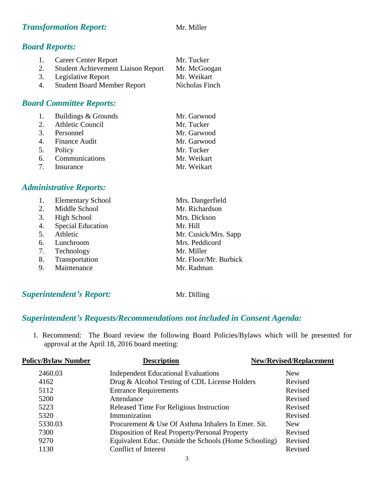#### **Transformation Report:** Mr. Miller

#### *Board Reports:*

| 1. | <b>Career Center Report</b>               | Mr. Tucker     |
|----|-------------------------------------------|----------------|
| 2. | <b>Student Achievement Liaison Report</b> | Mr. McGoogan   |
|    | 3. Legislative Report                     | Mr. Weikart    |
| 4. | <b>Student Board Member Report</b>        | Nicholas Finch |

# *Board Committee Reports:*

| 1. Buildings & Grounds | Mr. Garwood |
|------------------------|-------------|
| 2. Athletic Council    | Mr. Tucker  |
| 3. Personnel           | Mr. Garwood |
| 4. Finance Audit       | Mr. Garwood |
| 5. Policy              | Mr. Tucker  |
| 6. Communications      | Mr. Weikart |
| 7. Insurance           | Mr. Weikart |

#### *Administrative Reports:*

|    | <b>Elementary School</b> | Mrs. Dangerfield      |
|----|--------------------------|-----------------------|
| 2. | Middle School            | Mr. Richardson        |
| 3. | High School              | Mrs. Dickson          |
| 4. | <b>Special Education</b> | Mr. Hill              |
| 5. | Athletic                 | Mr. Cusick/Mrs. Sapp  |
| 6. | Lunchroom                | Mrs. Peddicord        |
| 7. | Technology               | Mr. Miller            |
| 8. | Transportation           | Mr. Floor/Mr. Burbick |
| 9. | Maintenance              | Mr. Radman            |

# *Superintendent's Report:* Mr. Dilling

#### *Superintendent's Requests/Recommendations not included in Consent Agenda:*

1. Recommend: The Board review the following Board Policies/Bylaws which will be presented for approval at the April 18, 2016 board meeting:

| <b>Policy/Bylaw Number</b> | <b>Description</b>                                    | <b>New/Revised/Replacement</b> |
|----------------------------|-------------------------------------------------------|--------------------------------|
| 2460.03                    | <b>Independent Educational Evaluations</b>            | <b>New</b>                     |
| 4162                       | Drug & Alcohol Testing of CDL License Holders         | Revised                        |
| 5112                       | <b>Entrance Requirements</b>                          | Revised                        |
| 5200                       | Attendance                                            | Revised                        |
| 5223                       | Released Time For Religious Instruction               | Revised                        |
| 5320                       | Immunization                                          | Revised                        |
| 5330.03                    | Procurement & Use Of Asthma Inhalers In Emer. Sit.    | <b>New</b>                     |
| 7300                       | Disposition of Real Property/Personal Property        | Revised                        |
| 9270                       | Equivalent Educ. Outside the Schools (Home Schooling) | Revised                        |
| 1130                       | <b>Conflict of Interest</b>                           | Revised                        |